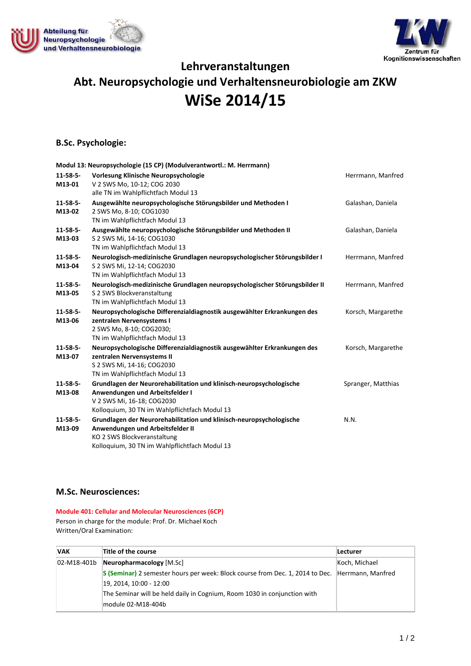



# **Lehrveranstaltungen Abt. Neuropsychologie und Verhaltensneurobiologie am ZKW**

# **WiSe 2014/15**

## **B.Sc. Psychologie:**

|                           | Modul 13: Neuropsychologie (15 CP) (Modulverantwortl.: M. Herrmann)                                   |                    |
|---------------------------|-------------------------------------------------------------------------------------------------------|--------------------|
| $11 - 58 - 5 -$           | Vorlesung Klinische Neuropsychologie                                                                  | Herrmann, Manfred  |
| M13-01                    | V 2 SWS Mo, 10-12; COG 2030                                                                           |                    |
|                           | alle TN im Wahlpflichtfach Modul 13                                                                   |                    |
| $11 - 58 - 5 -$           | Ausgewählte neuropsychologische Störungsbilder und Methoden I                                         | Galashan, Daniela  |
| M13-02                    | 2 SWS Mo, 8-10; COG1030                                                                               |                    |
|                           | TN im Wahlpflichtfach Modul 13                                                                        |                    |
| $11 - 58 - 5 -$           | Ausgewählte neuropsychologische Störungsbilder und Methoden II                                        | Galashan, Daniela  |
| M13-03                    | S 2 SWS Mi, 14-16; COG1030                                                                            |                    |
|                           | TN im Wahlpflichtfach Modul 13                                                                        |                    |
| $11 - 58 - 5 -$           | Neurologisch-medizinische Grundlagen neuropsychologischer Störungsbilder I                            | Herrmann, Manfred  |
| M13-04                    | S 2 SWS Mi, 12-14; COG2030                                                                            |                    |
|                           | TN im Wahlpflichtfach Modul 13                                                                        |                    |
| $11 - 58 - 5 -$           | Neurologisch-medizinische Grundlagen neuropsychologischer Störungsbilder II                           | Herrmann, Manfred  |
| M13-05                    | S 2 SWS Blockveranstaltung<br>TN im Wahlpflichtfach Modul 13                                          |                    |
|                           |                                                                                                       |                    |
| $11 - 58 - 5 -$<br>M13-06 | Neuropsychologische Differenzialdiagnostik ausgewählter Erkrankungen des<br>zentralen Nervensystems I | Korsch, Margarethe |
|                           | 2 SWS Mo, 8-10; COG2030;                                                                              |                    |
|                           | TN im Wahlpflichtfach Modul 13                                                                        |                    |
| $11 - 58 - 5 -$           | Neuropsychologische Differenzialdiagnostik ausgewählter Erkrankungen des                              | Korsch, Margarethe |
| M13-07                    | zentralen Nervensystems II                                                                            |                    |
|                           | S 2 SWS Mi, 14-16; COG2030                                                                            |                    |
|                           | TN im Wahlpflichtfach Modul 13                                                                        |                    |
| $11 - 58 - 5 -$           | Grundlagen der Neurorehabilitation und klinisch-neuropsychologische                                   | Spranger, Matthias |
| M13-08                    | Anwendungen und Arbeitsfelder I                                                                       |                    |
|                           | V 2 SWS Mi, 16-18; COG2030                                                                            |                    |
|                           | Kolloquium, 30 TN im Wahlpflichtfach Modul 13                                                         |                    |
| $11 - 58 - 5 -$           | Grundlagen der Neurorehabilitation und klinisch-neuropsychologische                                   | N.N.               |
| M13-09                    | Anwendungen und Arbeitsfelder II                                                                      |                    |
|                           | KO 2 SWS Blockveranstaltung                                                                           |                    |
|                           | Kolloquium, 30 TN im Wahlpflichtfach Modul 13                                                         |                    |

### **M.Sc. Neurosciences:**

**Module 401: Cellular and Molecular Neurosciences (6CP)** Person in charge for the module: Prof. Dr. Michael Koch Written/Oral Examination:

| <b>VAK</b> | Title of the course                                                                             | <b>Lecturer</b> |
|------------|-------------------------------------------------------------------------------------------------|-----------------|
|            | $[02-M18-401b]$ Neuropharmacology $[M.Sc]$                                                      | Koch, Michael   |
|            | S (Seminar) 2 semester hours per week: Block course from Dec. 1, 2014 to Dec. Herrmann, Manfred |                 |
|            | 19, 2014, 10:00 - 12:00                                                                         |                 |
|            | The Seminar will be held daily in Cognium, Room 1030 in conjunction with                        |                 |
|            | module 02-M18-404b                                                                              |                 |